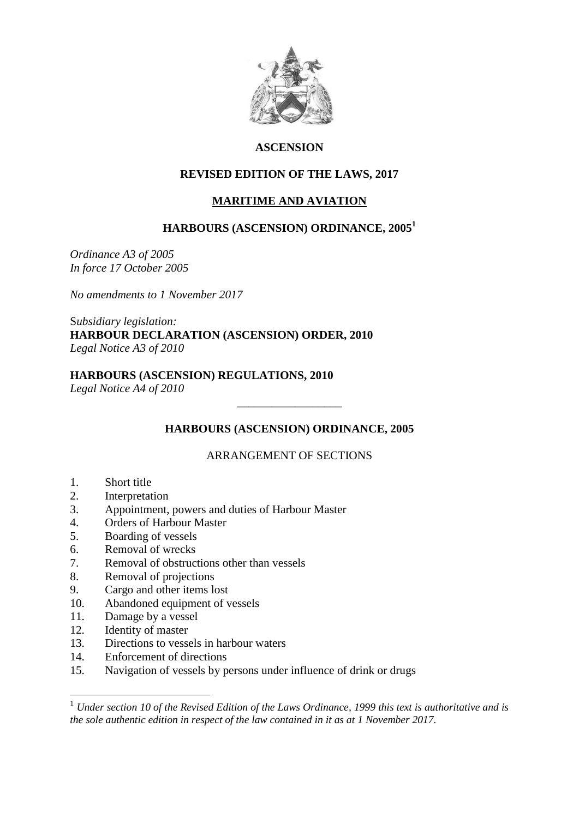

# **ASCENSION**

# **REVISED EDITION OF THE LAWS, 2017**

## **MARITIME AND AVIATION**

# **HARBOURS (ASCENSION) ORDINANCE, 2005<sup>1</sup>**

*Ordinance A3 of 2005 In force 17 October 2005*

*No amendments to 1 November 2017*

S*ubsidiary legislation:* **HARBOUR DECLARATION (ASCENSION) ORDER, 2010** *Legal Notice A3 of 2010*

# **HARBOURS (ASCENSION) REGULATIONS, 2010**

*Legal Notice A4 of 2010*

# **HARBOURS (ASCENSION) ORDINANCE, 2005**

\_\_\_\_\_\_\_\_\_\_\_\_\_\_\_\_\_\_

# ARRANGEMENT OF SECTIONS

- 1. Short title
- 2. Interpretation
- 3. Appointment, powers and duties of Harbour Master
- 4. Orders of Harbour Master
- 5. Boarding of vessels
- 6. Removal of wrecks
- 7. Removal of obstructions other than vessels
- 8. Removal of projections
- 9. Cargo and other items lost
- 10. Abandoned equipment of vessels
- 11. Damage by a vessel
- 12. Identity of master

<u>.</u>

- 13. Directions to vessels in harbour waters
- 14. Enforcement of directions
- 15. Navigation of vessels by persons under influence of drink or drugs

<sup>1</sup> *Under section 10 of the Revised Edition of the Laws Ordinance, 1999 this text is authoritative and is the sole authentic edition in respect of the law contained in it as at 1 November 2017.*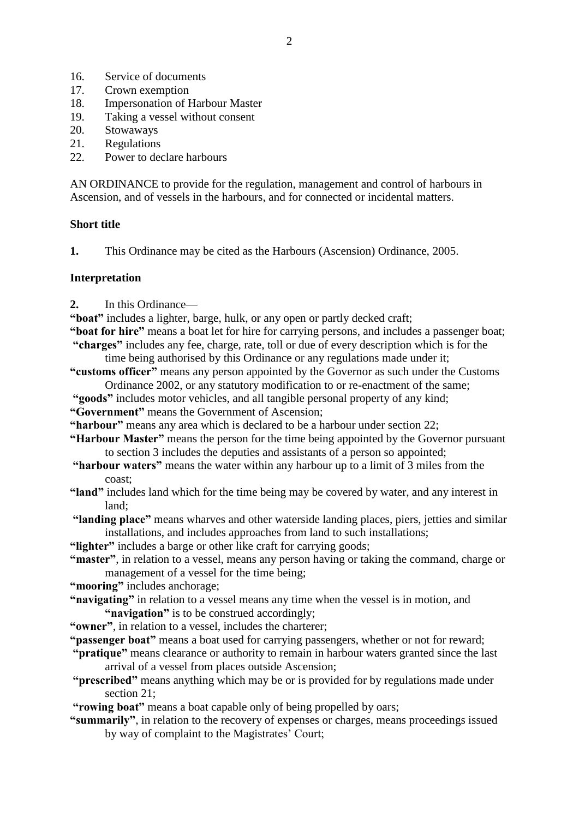- 16. Service of documents
- 17. Crown exemption
- 18. Impersonation of Harbour Master
- 19. Taking a vessel without consent
- 20. Stowaways
- 21. Regulations
- 22. Power to declare harbours

AN ORDINANCE to provide for the regulation, management and control of harbours in Ascension, and of vessels in the harbours, and for connected or incidental matters.

#### **Short title**

**1.** This Ordinance may be cited as the Harbours (Ascension) Ordinance, 2005.

#### **Interpretation**

- **2.** In this Ordinance—
- **"boat"** includes a lighter, barge, hulk, or any open or partly decked craft;
- **"boat for hire"** means a boat let for hire for carrying persons, and includes a passenger boat; **"charges"** includes any fee, charge, rate, toll or due of every description which is for the
	- time being authorised by this Ordinance or any regulations made under it;
- **"customs officer"** means any person appointed by the Governor as such under the Customs Ordinance 2002, or any statutory modification to or re-enactment of the same;
- **"goods"** includes motor vehicles, and all tangible personal property of any kind;
- **"Government"** means the Government of Ascension;
- **"harbour"** means any area which is declared to be a harbour under section 22;
- **"Harbour Master"** means the person for the time being appointed by the Governor pursuant to section 3 includes the deputies and assistants of a person so appointed;
- **"harbour waters"** means the water within any harbour up to a limit of 3 miles from the coast;
- **"land"** includes land which for the time being may be covered by water, and any interest in land;
- **"landing place"** means wharves and other waterside landing places, piers, jetties and similar installations, and includes approaches from land to such installations;
- **"lighter"** includes a barge or other like craft for carrying goods;
- **"master"**, in relation to a vessel, means any person having or taking the command, charge or management of a vessel for the time being;
- **"mooring"** includes anchorage;
- **"navigating"** in relation to a vessel means any time when the vessel is in motion, and **"navigation"** is to be construed accordingly;
- **"owner"**, in relation to a vessel, includes the charterer;
- **"passenger boat"** means a boat used for carrying passengers, whether or not for reward;
- **"pratique"** means clearance or authority to remain in harbour waters granted since the last arrival of a vessel from places outside Ascension;
- **"prescribed"** means anything which may be or is provided for by regulations made under section 21:
- **"rowing boat"** means a boat capable only of being propelled by oars;
- **"summarily"**, in relation to the recovery of expenses or charges, means proceedings issued by way of complaint to the Magistrates' Court;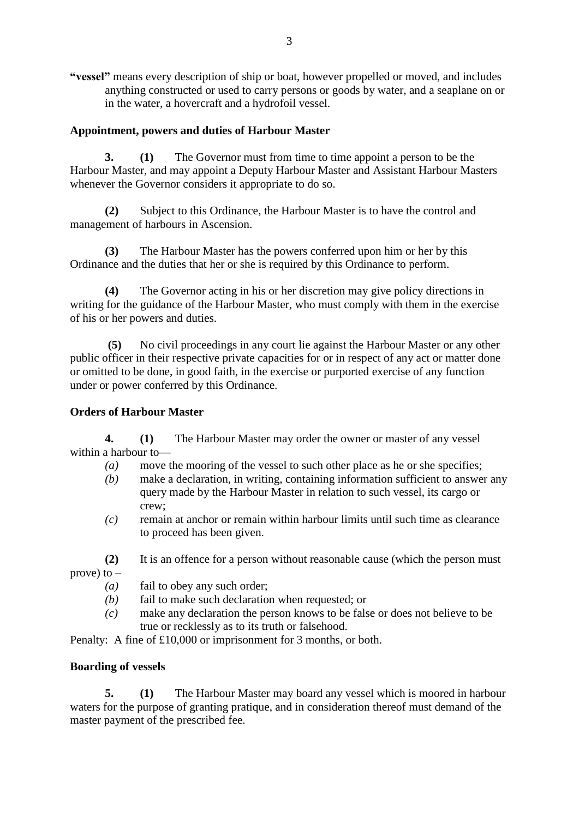**"vessel"** means every description of ship or boat, however propelled or moved, and includes anything constructed or used to carry persons or goods by water, and a seaplane on or in the water, a hovercraft and a hydrofoil vessel.

# **Appointment, powers and duties of Harbour Master**

**3. (1)** The Governor must from time to time appoint a person to be the Harbour Master, and may appoint a Deputy Harbour Master and Assistant Harbour Masters whenever the Governor considers it appropriate to do so.

**(2)** Subject to this Ordinance, the Harbour Master is to have the control and management of harbours in Ascension.

**(3)** The Harbour Master has the powers conferred upon him or her by this Ordinance and the duties that her or she is required by this Ordinance to perform.

**(4)** The Governor acting in his or her discretion may give policy directions in writing for the guidance of the Harbour Master, who must comply with them in the exercise of his or her powers and duties.

**(5)** No civil proceedings in any court lie against the Harbour Master or any other public officer in their respective private capacities for or in respect of any act or matter done or omitted to be done, in good faith, in the exercise or purported exercise of any function under or power conferred by this Ordinance.

# **Orders of Harbour Master**

**4. (1)** The Harbour Master may order the owner or master of any vessel within a harbour to—

- *(a)* move the mooring of the vessel to such other place as he or she specifies;
- *(b)* make a declaration, in writing, containing information sufficient to answer any query made by the Harbour Master in relation to such vessel, its cargo or crew;
- *(c)* remain at anchor or remain within harbour limits until such time as clearance to proceed has been given.
- **(2)** It is an offence for a person without reasonable cause (which the person must prove) to  $-$ 
	- *(a)* fail to obey any such order;
	- *(b)* fail to make such declaration when requested; or
	- *(c)* make any declaration the person knows to be false or does not believe to be true or recklessly as to its truth or falsehood.

Penalty: A fine of £10,000 or imprisonment for 3 months, or both.

# **Boarding of vessels**

**5. (1)** The Harbour Master may board any vessel which is moored in harbour waters for the purpose of granting pratique, and in consideration thereof must demand of the master payment of the prescribed fee.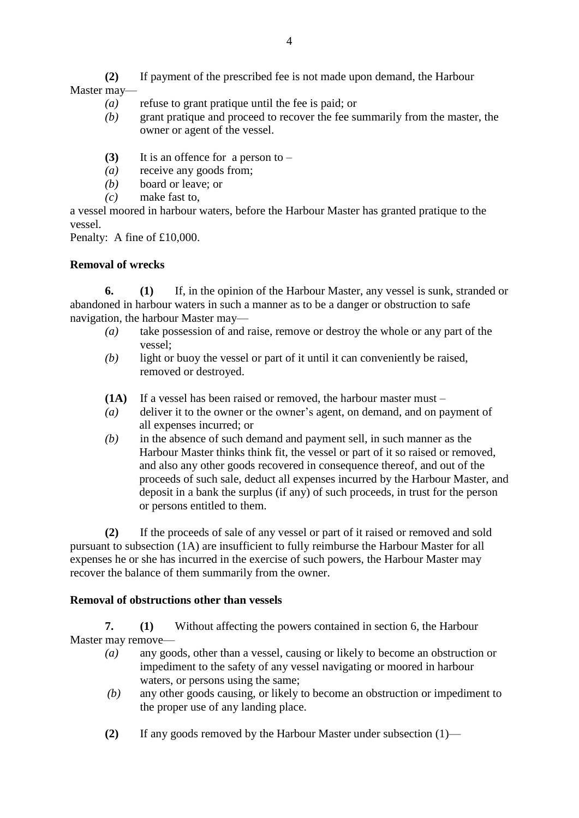**(2)** If payment of the prescribed fee is not made upon demand, the Harbour Master may—

- *(a)* refuse to grant pratique until the fee is paid; or
- *(b)* grant pratique and proceed to recover the fee summarily from the master, the owner or agent of the vessel.
- **(3)** It is an offence for a person to –
- *(a)* receive any goods from;
- *(b)* board or leave; or
- *(c)* make fast to,

a vessel moored in harbour waters, before the Harbour Master has granted pratique to the vessel.

Penalty: A fine of £10,000.

# **Removal of wrecks**

**6. (1)** If, in the opinion of the Harbour Master, any vessel is sunk, stranded or abandoned in harbour waters in such a manner as to be a danger or obstruction to safe navigation, the harbour Master may—

- *(a)* take possession of and raise, remove or destroy the whole or any part of the vessel;
- *(b)* light or buoy the vessel or part of it until it can conveniently be raised, removed or destroyed.
- **(1A)** If a vessel has been raised or removed, the harbour master must –
- *(a)* deliver it to the owner or the owner's agent, on demand, and on payment of all expenses incurred; or
- *(b)* in the absence of such demand and payment sell, in such manner as the Harbour Master thinks think fit, the vessel or part of it so raised or removed, and also any other goods recovered in consequence thereof, and out of the proceeds of such sale, deduct all expenses incurred by the Harbour Master, and deposit in a bank the surplus (if any) of such proceeds, in trust for the person or persons entitled to them.

**(2)** If the proceeds of sale of any vessel or part of it raised or removed and sold pursuant to subsection (1A) are insufficient to fully reimburse the Harbour Master for all expenses he or she has incurred in the exercise of such powers, the Harbour Master may recover the balance of them summarily from the owner.

# **Removal of obstructions other than vessels**

**7. (1)** Without affecting the powers contained in section 6, the Harbour Master may remove—

- *(a)* any goods, other than a vessel, causing or likely to become an obstruction or impediment to the safety of any vessel navigating or moored in harbour waters, or persons using the same;
- *(b)* any other goods causing, or likely to become an obstruction or impediment to the proper use of any landing place.
- **(2)** If any goods removed by the Harbour Master under subsection (1)—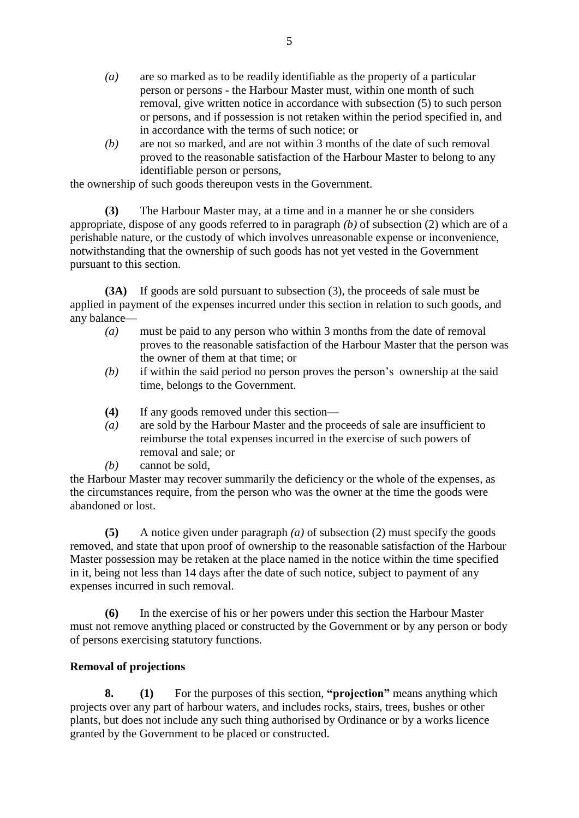- *(a)* are so marked as to be readily identifiable as the property of a particular person or persons - the Harbour Master must, within one month of such removal, give written notice in accordance with subsection (5) to such person or persons, and if possession is not retaken within the period specified in, and in accordance with the terms of such notice; or
- *(b)* are not so marked, and are not within 3 months of the date of such removal proved to the reasonable satisfaction of the Harbour Master to belong to any identifiable person or persons,

the ownership of such goods thereupon vests in the Government.

**(3)** The Harbour Master may, at a time and in a manner he or she considers appropriate, dispose of any goods referred to in paragraph *(b)* of subsection (2) which are of a perishable nature, or the custody of which involves unreasonable expense or inconvenience, notwithstanding that the ownership of such goods has not yet vested in the Government pursuant to this section.

**(3A)** If goods are sold pursuant to subsection (3), the proceeds of sale must be applied in payment of the expenses incurred under this section in relation to such goods, and any balance—

- *(a)* must be paid to any person who within 3 months from the date of removal proves to the reasonable satisfaction of the Harbour Master that the person was the owner of them at that time; or
- *(b)* if within the said period no person proves the person's ownership at the said time, belongs to the Government.
- **(4)** If any goods removed under this section—
- *(a)* are sold by the Harbour Master and the proceeds of sale are insufficient to reimburse the total expenses incurred in the exercise of such powers of removal and sale; or
- *(b)* cannot be sold,

the Harbour Master may recover summarily the deficiency or the whole of the expenses, as the circumstances require, from the person who was the owner at the time the goods were abandoned or lost.

**(5)** A notice given under paragraph *(a)* of subsection (2) must specify the goods removed, and state that upon proof of ownership to the reasonable satisfaction of the Harbour Master possession may be retaken at the place named in the notice within the time specified in it, being not less than 14 days after the date of such notice, subject to payment of any expenses incurred in such removal.

**(6)** In the exercise of his or her powers under this section the Harbour Master must not remove anything placed or constructed by the Government or by any person or body of persons exercising statutory functions.

# **Removal of projections**

**8. (1)** For the purposes of this section, **"projection"** means anything which projects over any part of harbour waters, and includes rocks, stairs, trees, bushes or other plants, but does not include any such thing authorised by Ordinance or by a works licence granted by the Government to be placed or constructed.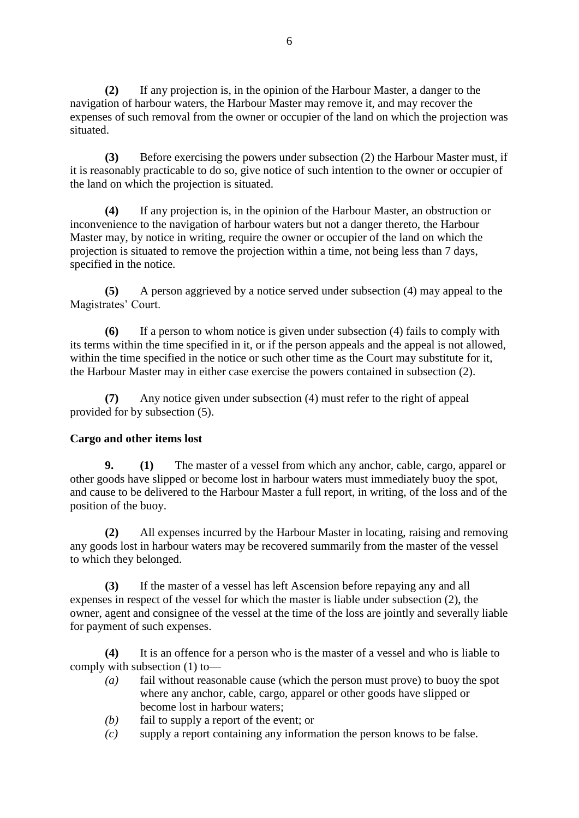**(2)** If any projection is, in the opinion of the Harbour Master, a danger to the navigation of harbour waters, the Harbour Master may remove it, and may recover the expenses of such removal from the owner or occupier of the land on which the projection was situated.

**(3)** Before exercising the powers under subsection (2) the Harbour Master must, if it is reasonably practicable to do so, give notice of such intention to the owner or occupier of the land on which the projection is situated.

**(4)** If any projection is, in the opinion of the Harbour Master, an obstruction or inconvenience to the navigation of harbour waters but not a danger thereto, the Harbour Master may, by notice in writing, require the owner or occupier of the land on which the projection is situated to remove the projection within a time, not being less than 7 days, specified in the notice.

**(5)** A person aggrieved by a notice served under subsection (4) may appeal to the Magistrates' Court.

**(6)** If a person to whom notice is given under subsection (4) fails to comply with its terms within the time specified in it, or if the person appeals and the appeal is not allowed, within the time specified in the notice or such other time as the Court may substitute for it, the Harbour Master may in either case exercise the powers contained in subsection (2).

**(7)** Any notice given under subsection (4) must refer to the right of appeal provided for by subsection (5).

# **Cargo and other items lost**

**9. (1)** The master of a vessel from which any anchor, cable, cargo, apparel or other goods have slipped or become lost in harbour waters must immediately buoy the spot, and cause to be delivered to the Harbour Master a full report, in writing, of the loss and of the position of the buoy.

**(2)** All expenses incurred by the Harbour Master in locating, raising and removing any goods lost in harbour waters may be recovered summarily from the master of the vessel to which they belonged.

**(3)** If the master of a vessel has left Ascension before repaying any and all expenses in respect of the vessel for which the master is liable under subsection (2), the owner, agent and consignee of the vessel at the time of the loss are jointly and severally liable for payment of such expenses.

**(4)** It is an offence for a person who is the master of a vessel and who is liable to comply with subsection (1) to—

- *(a)* fail without reasonable cause (which the person must prove) to buoy the spot where any anchor, cable, cargo, apparel or other goods have slipped or become lost in harbour waters;
- *(b)* fail to supply a report of the event; or
- *(c)* supply a report containing any information the person knows to be false.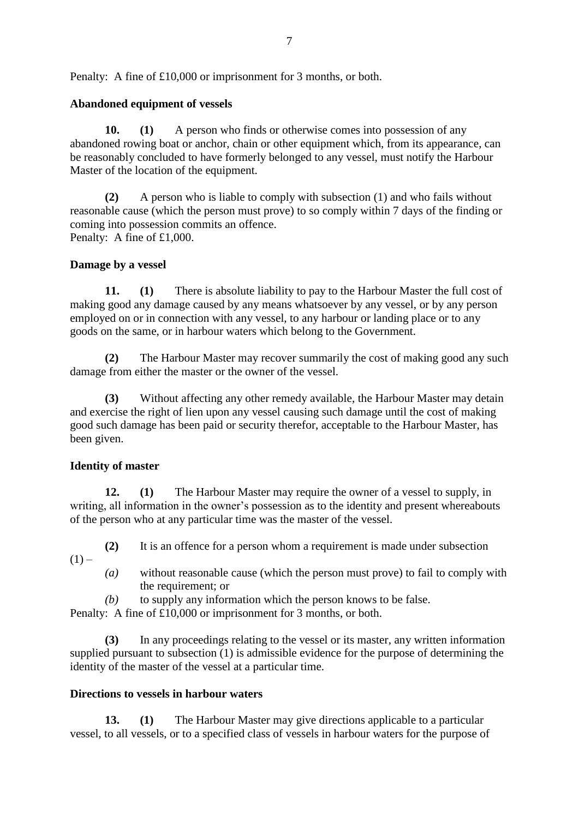Penalty: A fine of £10,000 or imprisonment for 3 months, or both.

## **Abandoned equipment of vessels**

**10. (1)** A person who finds or otherwise comes into possession of any abandoned rowing boat or anchor, chain or other equipment which, from its appearance, can be reasonably concluded to have formerly belonged to any vessel, must notify the Harbour Master of the location of the equipment.

**(2)** A person who is liable to comply with subsection (1) and who fails without reasonable cause (which the person must prove) to so comply within 7 days of the finding or coming into possession commits an offence. Penalty: A fine of £1,000.

## **Damage by a vessel**

**11. (1)** There is absolute liability to pay to the Harbour Master the full cost of making good any damage caused by any means whatsoever by any vessel, or by any person employed on or in connection with any vessel, to any harbour or landing place or to any goods on the same, or in harbour waters which belong to the Government.

**(2)** The Harbour Master may recover summarily the cost of making good any such damage from either the master or the owner of the vessel.

**(3)** Without affecting any other remedy available, the Harbour Master may detain and exercise the right of lien upon any vessel causing such damage until the cost of making good such damage has been paid or security therefor, acceptable to the Harbour Master, has been given.

## **Identity of master**

**12. (1)** The Harbour Master may require the owner of a vessel to supply, in writing, all information in the owner's possession as to the identity and present whereabouts of the person who at any particular time was the master of the vessel.

- **(2)** It is an offence for a person whom a requirement is made under subsection  $(1)$  –
	- *(a)* without reasonable cause (which the person must prove) to fail to comply with the requirement; or
	- *(b)* to supply any information which the person knows to be false.

Penalty: A fine of £10,000 or imprisonment for 3 months, or both.

**(3)** In any proceedings relating to the vessel or its master, any written information supplied pursuant to subsection (1) is admissible evidence for the purpose of determining the identity of the master of the vessel at a particular time.

## **Directions to vessels in harbour waters**

**13. (1)** The Harbour Master may give directions applicable to a particular vessel, to all vessels, or to a specified class of vessels in harbour waters for the purpose of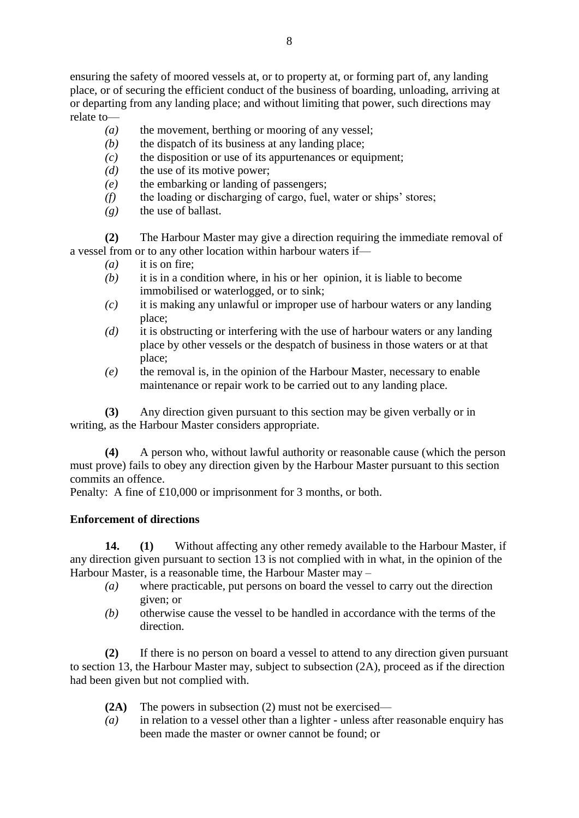ensuring the safety of moored vessels at, or to property at, or forming part of, any landing place, or of securing the efficient conduct of the business of boarding, unloading, arriving at or departing from any landing place; and without limiting that power, such directions may relate to—

- *(a)* the movement, berthing or mooring of any vessel;
- *(b)* the dispatch of its business at any landing place;
- *(c)* the disposition or use of its appurtenances or equipment;
- *(d)* the use of its motive power;
- *(e)* the embarking or landing of passengers;
- *(f)* the loading or discharging of cargo, fuel, water or ships' stores;
- *(g)* the use of ballast.

**(2)** The Harbour Master may give a direction requiring the immediate removal of a vessel from or to any other location within harbour waters if—

- *(a)* it is on fire;
- *(b)* it is in a condition where, in his or her opinion, it is liable to become immobilised or waterlogged, or to sink;
- *(c)* it is making any unlawful or improper use of harbour waters or any landing place;
- *(d)* it is obstructing or interfering with the use of harbour waters or any landing place by other vessels or the despatch of business in those waters or at that place;
- *(e)* the removal is, in the opinion of the Harbour Master, necessary to enable maintenance or repair work to be carried out to any landing place.

**(3)** Any direction given pursuant to this section may be given verbally or in writing, as the Harbour Master considers appropriate.

**(4)** A person who, without lawful authority or reasonable cause (which the person must prove) fails to obey any direction given by the Harbour Master pursuant to this section commits an offence.

Penalty: A fine of £10,000 or imprisonment for 3 months, or both.

# **Enforcement of directions**

**14. (1)** Without affecting any other remedy available to the Harbour Master, if any direction given pursuant to section 13 is not complied with in what, in the opinion of the Harbour Master, is a reasonable time, the Harbour Master may –

- *(a)* where practicable, put persons on board the vessel to carry out the direction given; or
- *(b)* otherwise cause the vessel to be handled in accordance with the terms of the direction.

**(2)** If there is no person on board a vessel to attend to any direction given pursuant to section 13, the Harbour Master may, subject to subsection (2A), proceed as if the direction had been given but not complied with.

- **(2A)** The powers in subsection (2) must not be exercised—
- *(a)* in relation to a vessel other than a lighter unless after reasonable enquiry has been made the master or owner cannot be found; or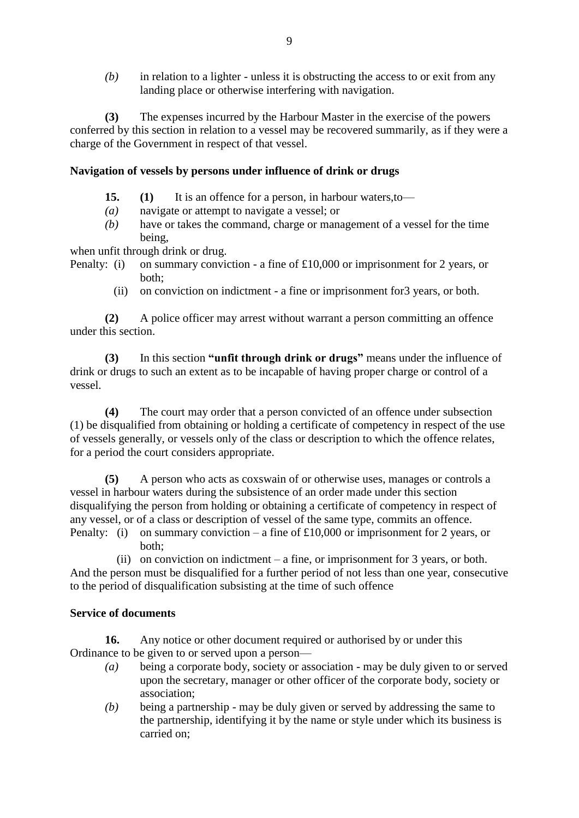*(b)* in relation to a lighter - unless it is obstructing the access to or exit from any landing place or otherwise interfering with navigation.

**(3)** The expenses incurred by the Harbour Master in the exercise of the powers conferred by this section in relation to a vessel may be recovered summarily, as if they were a charge of the Government in respect of that vessel.

## **Navigation of vessels by persons under influence of drink or drugs**

- **15. (1)** It is an offence for a person, in harbour waters,to—
- *(a)* navigate or attempt to navigate a vessel; or
- *(b)* have or takes the command, charge or management of a vessel for the time being,

when unfit through drink or drug.

- Penalty: (i) on summary conviction a fine of £10,000 or imprisonment for 2 years, or both;
	- (ii) on conviction on indictment a fine or imprisonment for3 years, or both.

**(2)** A police officer may arrest without warrant a person committing an offence under this section.

**(3)** In this section **"unfit through drink or drugs"** means under the influence of drink or drugs to such an extent as to be incapable of having proper charge or control of a vessel.

**(4)** The court may order that a person convicted of an offence under subsection (1) be disqualified from obtaining or holding a certificate of competency in respect of the use of vessels generally, or vessels only of the class or description to which the offence relates, for a period the court considers appropriate.

**(5)** A person who acts as coxswain of or otherwise uses, manages or controls a vessel in harbour waters during the subsistence of an order made under this section disqualifying the person from holding or obtaining a certificate of competency in respect of any vessel, or of a class or description of vessel of the same type, commits an offence.

Penalty: (i) on summary conviction – a fine of £10,000 or imprisonment for 2 years, or both;

 $(i)$  on conviction on indictment – a fine, or imprisonment for 3 years, or both. And the person must be disqualified for a further period of not less than one year, consecutive to the period of disqualification subsisting at the time of such offence

## **Service of documents**

**16.** Any notice or other document required or authorised by or under this Ordinance to be given to or served upon a person—

- *(a)* being a corporate body, society or association may be duly given to or served upon the secretary, manager or other officer of the corporate body, society or association;
- *(b)* being a partnership may be duly given or served by addressing the same to the partnership, identifying it by the name or style under which its business is carried on;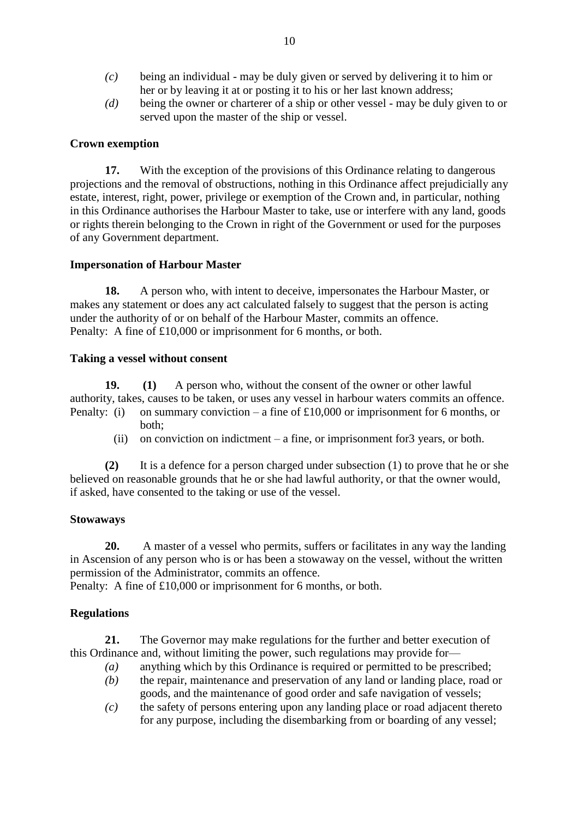- *(c)* being an individual may be duly given or served by delivering it to him or her or by leaving it at or posting it to his or her last known address;
- *(d)* being the owner or charterer of a ship or other vessel may be duly given to or served upon the master of the ship or vessel.

## **Crown exemption**

**17.** With the exception of the provisions of this Ordinance relating to dangerous projections and the removal of obstructions, nothing in this Ordinance affect prejudicially any estate, interest, right, power, privilege or exemption of the Crown and, in particular, nothing in this Ordinance authorises the Harbour Master to take, use or interfere with any land, goods or rights therein belonging to the Crown in right of the Government or used for the purposes of any Government department.

## **Impersonation of Harbour Master**

**18.** A person who, with intent to deceive, impersonates the Harbour Master, or makes any statement or does any act calculated falsely to suggest that the person is acting under the authority of or on behalf of the Harbour Master, commits an offence. Penalty: A fine of £10,000 or imprisonment for 6 months, or both.

#### **Taking a vessel without consent**

**19. (1)** A person who, without the consent of the owner or other lawful authority, takes, causes to be taken, or uses any vessel in harbour waters commits an offence. Penalty: (i) on summary conviction – a fine of £10,000 or imprisonment for 6 months, or

- both;
- $(i)$  on conviction on indictment a fine, or imprisonment for 3 years, or both.

**(2)** It is a defence for a person charged under subsection (1) to prove that he or she believed on reasonable grounds that he or she had lawful authority, or that the owner would, if asked, have consented to the taking or use of the vessel.

#### **Stowaways**

**20.** A master of a vessel who permits, suffers or facilitates in any way the landing in Ascension of any person who is or has been a stowaway on the vessel, without the written permission of the Administrator, commits an offence.

Penalty: A fine of £10,000 or imprisonment for 6 months, or both.

## **Regulations**

**21.** The Governor may make regulations for the further and better execution of this Ordinance and, without limiting the power, such regulations may provide for—

- *(a)* anything which by this Ordinance is required or permitted to be prescribed;
- *(b)* the repair, maintenance and preservation of any land or landing place, road or goods, and the maintenance of good order and safe navigation of vessels;
- *(c)* the safety of persons entering upon any landing place or road adjacent thereto for any purpose, including the disembarking from or boarding of any vessel;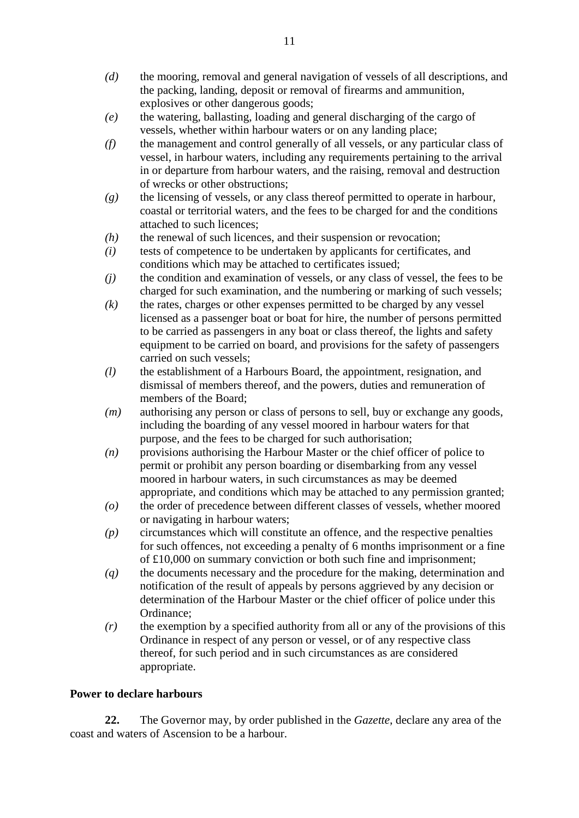- *(d)* the mooring, removal and general navigation of vessels of all descriptions, and the packing, landing, deposit or removal of firearms and ammunition, explosives or other dangerous goods;
- *(e)* the watering, ballasting, loading and general discharging of the cargo of vessels, whether within harbour waters or on any landing place;
- *(f)* the management and control generally of all vessels, or any particular class of vessel, in harbour waters, including any requirements pertaining to the arrival in or departure from harbour waters, and the raising, removal and destruction of wrecks or other obstructions;
- *(g)* the licensing of vessels, or any class thereof permitted to operate in harbour, coastal or territorial waters, and the fees to be charged for and the conditions attached to such licences;
- *(h)* the renewal of such licences, and their suspension or revocation;
- *(i)* tests of competence to be undertaken by applicants for certificates, and conditions which may be attached to certificates issued;
- *(j)* the condition and examination of vessels, or any class of vessel, the fees to be charged for such examination, and the numbering or marking of such vessels;
- *(k)* the rates, charges or other expenses permitted to be charged by any vessel licensed as a passenger boat or boat for hire, the number of persons permitted to be carried as passengers in any boat or class thereof, the lights and safety equipment to be carried on board, and provisions for the safety of passengers carried on such vessels;
- *(l)* the establishment of a Harbours Board, the appointment, resignation, and dismissal of members thereof, and the powers, duties and remuneration of members of the Board;
- *(m)* authorising any person or class of persons to sell, buy or exchange any goods, including the boarding of any vessel moored in harbour waters for that purpose, and the fees to be charged for such authorisation;
- *(n)* provisions authorising the Harbour Master or the chief officer of police to permit or prohibit any person boarding or disembarking from any vessel moored in harbour waters, in such circumstances as may be deemed appropriate, and conditions which may be attached to any permission granted;
- *(o)* the order of precedence between different classes of vessels, whether moored or navigating in harbour waters;
- *(p)* circumstances which will constitute an offence, and the respective penalties for such offences, not exceeding a penalty of 6 months imprisonment or a fine of £10,000 on summary conviction or both such fine and imprisonment;
- *(q)* the documents necessary and the procedure for the making, determination and notification of the result of appeals by persons aggrieved by any decision or determination of the Harbour Master or the chief officer of police under this Ordinance;
- *(r)* the exemption by a specified authority from all or any of the provisions of this Ordinance in respect of any person or vessel, or of any respective class thereof, for such period and in such circumstances as are considered appropriate.

# **Power to declare harbours**

**22.** The Governor may, by order published in the *Gazette*, declare any area of the coast and waters of Ascension to be a harbour.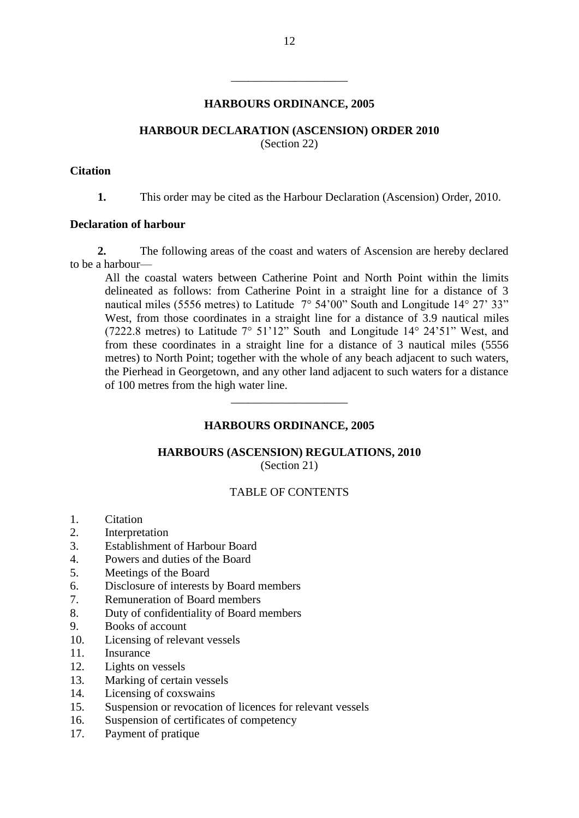#### **HARBOURS ORDINANCE, 2005**

\_\_\_\_\_\_\_\_\_\_\_\_\_\_\_\_\_\_\_\_

#### **HARBOUR DECLARATION (ASCENSION) ORDER 2010**

(Section 22)

#### **Citation**

**1.** This order may be cited as the Harbour Declaration (Ascension) Order, 2010.

#### **Declaration of harbour**

**2.** The following areas of the coast and waters of Ascension are hereby declared to be a harbour—

All the coastal waters between Catherine Point and North Point within the limits delineated as follows: from Catherine Point in a straight line for a distance of 3 nautical miles (5556 metres) to Latitude 7° 54'00" South and Longitude 14° 27' 33" West, from those coordinates in a straight line for a distance of 3.9 nautical miles (7222.8 metres) to Latitude 7° 51'12" South and Longitude 14° 24'51" West, and from these coordinates in a straight line for a distance of 3 nautical miles (5556 metres) to North Point; together with the whole of any beach adjacent to such waters, the Pierhead in Georgetown, and any other land adjacent to such waters for a distance of 100 metres from the high water line.

## **HARBOURS ORDINANCE, 2005**

\_\_\_\_\_\_\_\_\_\_\_\_\_\_\_\_\_\_\_\_

#### **HARBOURS (ASCENSION) REGULATIONS, 2010** (Section 21)

# TABLE OF CONTENTS

- 1. Citation
- 2. Interpretation
- 3. Establishment of Harbour Board
- 4. Powers and duties of the Board
- 5. Meetings of the Board
- 6. Disclosure of interests by Board members
- 7. Remuneration of Board members
- 8. Duty of confidentiality of Board members
- 9. Books of account
- 10. Licensing of relevant vessels
- 11. Insurance
- 12. Lights on vessels
- 13. Marking of certain vessels
- 14. Licensing of coxswains
- 15. Suspension or revocation of licences for relevant vessels
- 16. Suspension of certificates of competency
- 17. Payment of pratique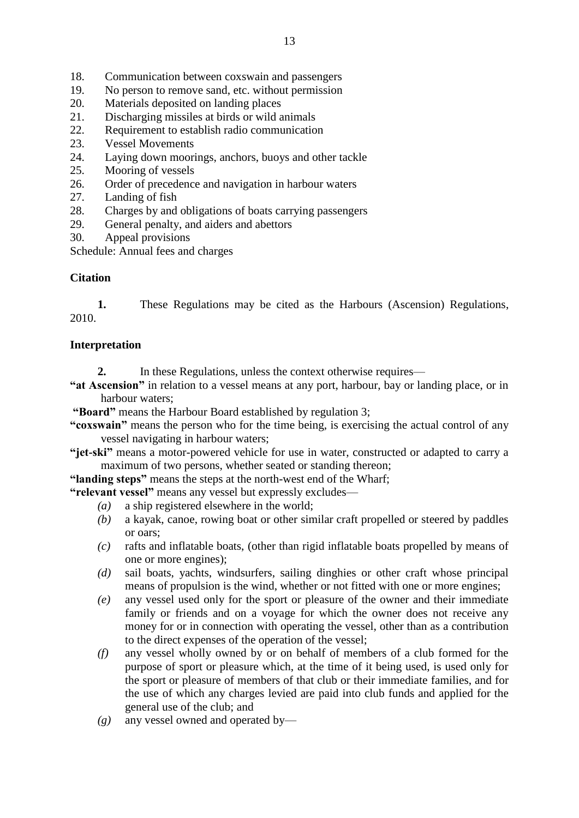- 18. Communication between coxswain and passengers
- 19. No person to remove sand, etc. without permission
- 20. Materials deposited on landing places
- 21. Discharging missiles at birds or wild animals
- 22. Requirement to establish radio communication
- 23. Vessel Movements
- 24. Laying down moorings, anchors, buoys and other tackle
- 25. Mooring of vessels
- 26. Order of precedence and navigation in harbour waters
- 27. Landing of fish
- 28. Charges by and obligations of boats carrying passengers
- 29. General penalty, and aiders and abettors
- 30. Appeal provisions

Schedule: Annual fees and charges

# **Citation**

**1.** These Regulations may be cited as the Harbours (Ascension) Regulations, 2010.

## **Interpretation**

- **2.** In these Regulations, unless the context otherwise requires—
- **"at Ascension"** in relation to a vessel means at any port, harbour, bay or landing place, or in harbour waters;

**"Board"** means the Harbour Board established by regulation 3;

- **"coxswain"** means the person who for the time being, is exercising the actual control of any vessel navigating in harbour waters;
- **"jet-ski"** means a motor-powered vehicle for use in water, constructed or adapted to carry a maximum of two persons, whether seated or standing thereon;

**"landing steps"** means the steps at the north-west end of the Wharf;

**"relevant vessel"** means any vessel but expressly excludes—

- *(a)* a ship registered elsewhere in the world;
- *(b)* a kayak, canoe, rowing boat or other similar craft propelled or steered by paddles or oars;
- *(c)* rafts and inflatable boats, (other than rigid inflatable boats propelled by means of one or more engines);
- *(d)* sail boats, yachts, windsurfers, sailing dinghies or other craft whose principal means of propulsion is the wind, whether or not fitted with one or more engines;
- *(e)* any vessel used only for the sport or pleasure of the owner and their immediate family or friends and on a voyage for which the owner does not receive any money for or in connection with operating the vessel, other than as a contribution to the direct expenses of the operation of the vessel;
- *(f)* any vessel wholly owned by or on behalf of members of a club formed for the purpose of sport or pleasure which, at the time of it being used, is used only for the sport or pleasure of members of that club or their immediate families, and for the use of which any charges levied are paid into club funds and applied for the general use of the club; and
- *(g)* any vessel owned and operated by—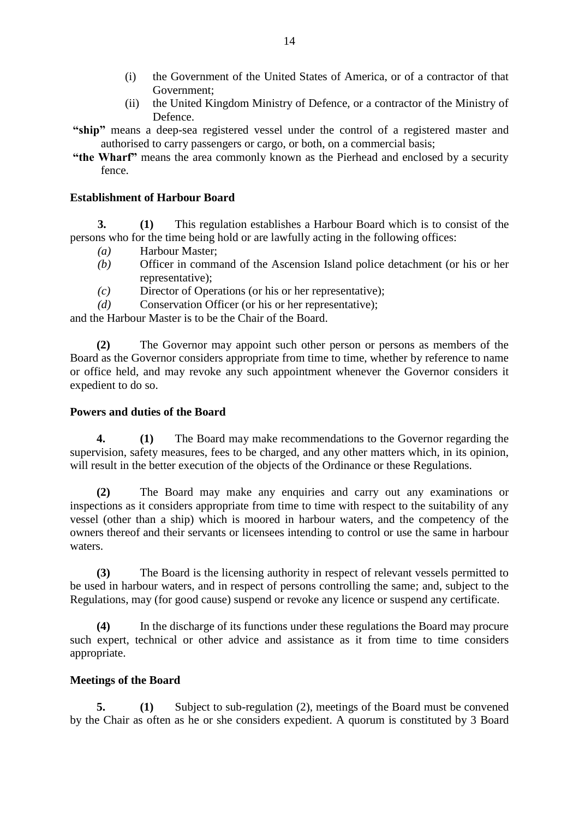- (i) the Government of the United States of America, or of a contractor of that Government;
- (ii) the United Kingdom Ministry of Defence, or a contractor of the Ministry of Defence.
- **"ship"** means a deep-sea registered vessel under the control of a registered master and authorised to carry passengers or cargo, or both, on a commercial basis;
- **"the Wharf"** means the area commonly known as the Pierhead and enclosed by a security fence.

## **Establishment of Harbour Board**

**3. (1)** This regulation establishes a Harbour Board which is to consist of the persons who for the time being hold or are lawfully acting in the following offices:

- *(a)* Harbour Master;
- *(b)* Officer in command of the Ascension Island police detachment (or his or her representative);
- *(c)* Director of Operations (or his or her representative);
- *(d)* Conservation Officer (or his or her representative);

and the Harbour Master is to be the Chair of the Board.

**(2)** The Governor may appoint such other person or persons as members of the Board as the Governor considers appropriate from time to time, whether by reference to name or office held, and may revoke any such appointment whenever the Governor considers it expedient to do so.

## **Powers and duties of the Board**

**4. (1)** The Board may make recommendations to the Governor regarding the supervision, safety measures, fees to be charged, and any other matters which, in its opinion, will result in the better execution of the objects of the Ordinance or these Regulations.

**(2)** The Board may make any enquiries and carry out any examinations or inspections as it considers appropriate from time to time with respect to the suitability of any vessel (other than a ship) which is moored in harbour waters, and the competency of the owners thereof and their servants or licensees intending to control or use the same in harbour waters.

**(3)** The Board is the licensing authority in respect of relevant vessels permitted to be used in harbour waters, and in respect of persons controlling the same; and, subject to the Regulations, may (for good cause) suspend or revoke any licence or suspend any certificate.

**(4)** In the discharge of its functions under these regulations the Board may procure such expert, technical or other advice and assistance as it from time to time considers appropriate.

## **Meetings of the Board**

**5. (1)** Subject to sub-regulation (2), meetings of the Board must be convened by the Chair as often as he or she considers expedient. A quorum is constituted by 3 Board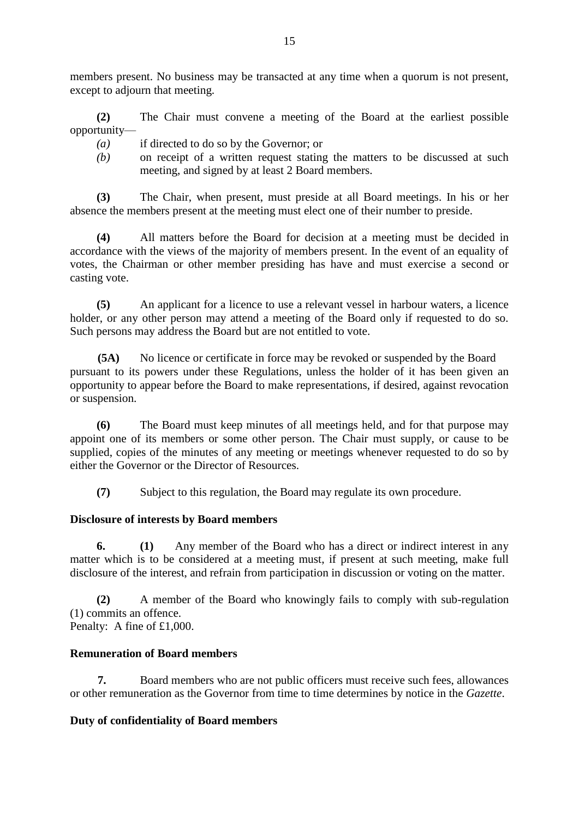members present. No business may be transacted at any time when a quorum is not present, except to adjourn that meeting.

**(2)** The Chair must convene a meeting of the Board at the earliest possible opportunity—

- *(a)* if directed to do so by the Governor; or
- *(b)* on receipt of a written request stating the matters to be discussed at such meeting, and signed by at least 2 Board members.

**(3)** The Chair, when present, must preside at all Board meetings. In his or her absence the members present at the meeting must elect one of their number to preside.

**(4)** All matters before the Board for decision at a meeting must be decided in accordance with the views of the majority of members present. In the event of an equality of votes, the Chairman or other member presiding has have and must exercise a second or casting vote.

**(5)** An applicant for a licence to use a relevant vessel in harbour waters, a licence holder, or any other person may attend a meeting of the Board only if requested to do so. Such persons may address the Board but are not entitled to vote.

**(5A)** No licence or certificate in force may be revoked or suspended by the Board pursuant to its powers under these Regulations, unless the holder of it has been given an opportunity to appear before the Board to make representations, if desired, against revocation or suspension.

**(6)** The Board must keep minutes of all meetings held, and for that purpose may appoint one of its members or some other person. The Chair must supply, or cause to be supplied, copies of the minutes of any meeting or meetings whenever requested to do so by either the Governor or the Director of Resources.

**(7)** Subject to this regulation, the Board may regulate its own procedure.

# **Disclosure of interests by Board members**

**6. (1)** Any member of the Board who has a direct or indirect interest in any matter which is to be considered at a meeting must, if present at such meeting, make full disclosure of the interest, and refrain from participation in discussion or voting on the matter.

**(2)** A member of the Board who knowingly fails to comply with sub-regulation (1) commits an offence. Penalty: A fine of £1,000.

## **Remuneration of Board members**

**7.** Board members who are not public officers must receive such fees, allowances or other remuneration as the Governor from time to time determines by notice in the *Gazette*.

# **Duty of confidentiality of Board members**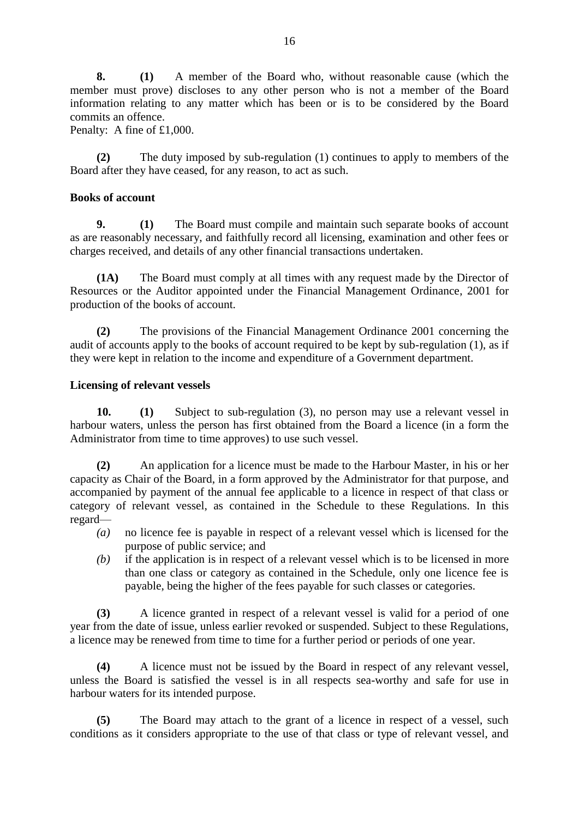**8. (1)** A member of the Board who, without reasonable cause (which the member must prove) discloses to any other person who is not a member of the Board information relating to any matter which has been or is to be considered by the Board commits an offence.

Penalty: A fine of £1,000.

**(2)** The duty imposed by sub-regulation (1) continues to apply to members of the Board after they have ceased, for any reason, to act as such.

## **Books of account**

**9. (1)** The Board must compile and maintain such separate books of account as are reasonably necessary, and faithfully record all licensing, examination and other fees or charges received, and details of any other financial transactions undertaken.

**(1A)** The Board must comply at all times with any request made by the Director of Resources or the Auditor appointed under the Financial Management Ordinance, 2001 for production of the books of account.

**(2)** The provisions of the Financial Management Ordinance 2001 concerning the audit of accounts apply to the books of account required to be kept by sub-regulation (1), as if they were kept in relation to the income and expenditure of a Government department.

## **Licensing of relevant vessels**

**10. (1)** Subject to sub-regulation (3), no person may use a relevant vessel in harbour waters, unless the person has first obtained from the Board a licence (in a form the Administrator from time to time approves) to use such vessel.

**(2)** An application for a licence must be made to the Harbour Master, in his or her capacity as Chair of the Board, in a form approved by the Administrator for that purpose, and accompanied by payment of the annual fee applicable to a licence in respect of that class or category of relevant vessel, as contained in the Schedule to these Regulations. In this regard—

- *(a)* no licence fee is payable in respect of a relevant vessel which is licensed for the purpose of public service; and
- *(b)* if the application is in respect of a relevant vessel which is to be licensed in more than one class or category as contained in the Schedule, only one licence fee is payable, being the higher of the fees payable for such classes or categories.

**(3)** A licence granted in respect of a relevant vessel is valid for a period of one year from the date of issue, unless earlier revoked or suspended. Subject to these Regulations, a licence may be renewed from time to time for a further period or periods of one year.

**(4)** A licence must not be issued by the Board in respect of any relevant vessel, unless the Board is satisfied the vessel is in all respects sea-worthy and safe for use in harbour waters for its intended purpose.

**(5)** The Board may attach to the grant of a licence in respect of a vessel, such conditions as it considers appropriate to the use of that class or type of relevant vessel, and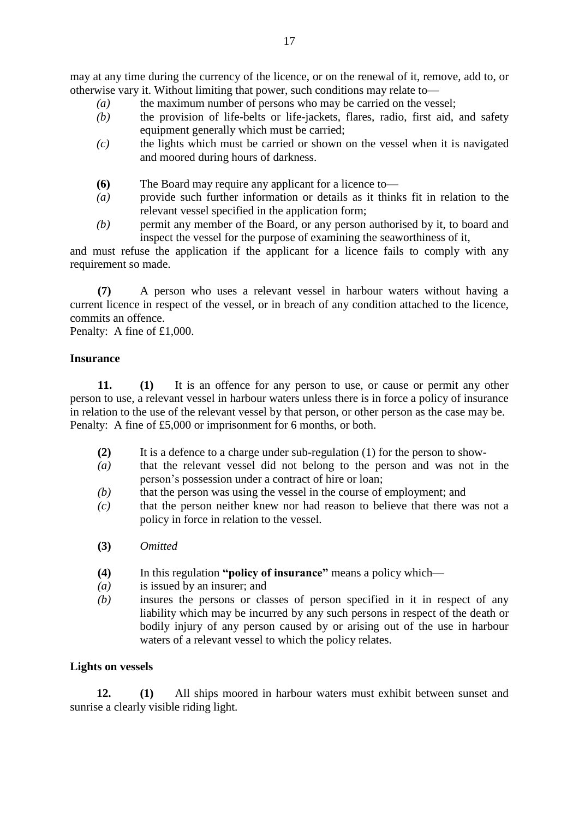may at any time during the currency of the licence, or on the renewal of it, remove, add to, or otherwise vary it. Without limiting that power, such conditions may relate to—

- *(a)* the maximum number of persons who may be carried on the vessel;
- *(b)* the provision of life-belts or life-jackets, flares, radio, first aid, and safety equipment generally which must be carried;
- *(c)* the lights which must be carried or shown on the vessel when it is navigated and moored during hours of darkness.
- **(6)** The Board may require any applicant for a licence to—
- *(a)* provide such further information or details as it thinks fit in relation to the relevant vessel specified in the application form;
- *(b)* permit any member of the Board, or any person authorised by it, to board and inspect the vessel for the purpose of examining the seaworthiness of it,

and must refuse the application if the applicant for a licence fails to comply with any requirement so made.

**(7)** A person who uses a relevant vessel in harbour waters without having a current licence in respect of the vessel, or in breach of any condition attached to the licence, commits an offence.

Penalty: A fine of £1,000.

## **Insurance**

**11. (1)** It is an offence for any person to use, or cause or permit any other person to use, a relevant vessel in harbour waters unless there is in force a policy of insurance in relation to the use of the relevant vessel by that person, or other person as the case may be. Penalty: A fine of £5,000 or imprisonment for 6 months, or both.

- **(2)** It is a defence to a charge under sub-regulation (1) for the person to show-
- *(a)* that the relevant vessel did not belong to the person and was not in the person's possession under a contract of hire or loan;
- *(b)* that the person was using the vessel in the course of employment; and
- *(c)* that the person neither knew nor had reason to believe that there was not a policy in force in relation to the vessel.
- **(3)** *Omitted*
- **(4)** In this regulation **"policy of insurance"** means a policy which—
- *(a)* is issued by an insurer; and
- *(b)* insures the persons or classes of person specified in it in respect of any liability which may be incurred by any such persons in respect of the death or bodily injury of any person caused by or arising out of the use in harbour waters of a relevant vessel to which the policy relates.

## **Lights on vessels**

**12. (1)** All ships moored in harbour waters must exhibit between sunset and sunrise a clearly visible riding light.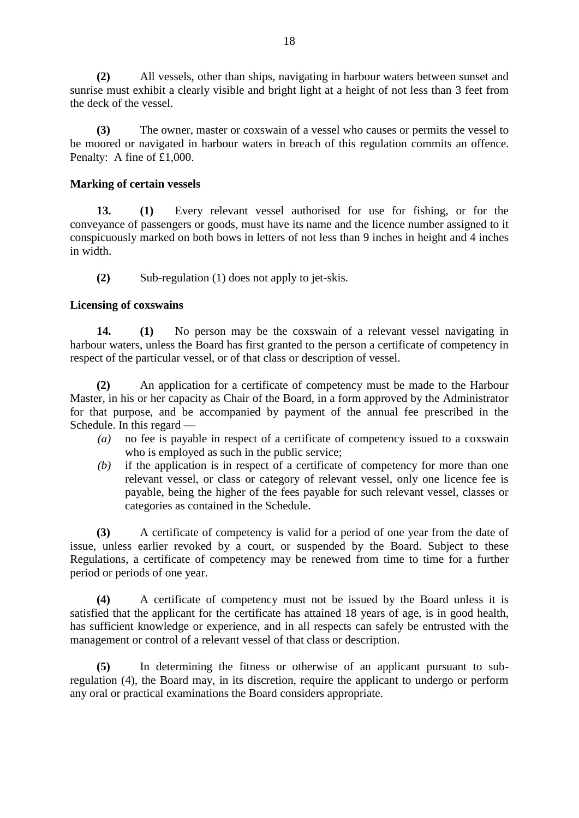**(2)** All vessels, other than ships, navigating in harbour waters between sunset and sunrise must exhibit a clearly visible and bright light at a height of not less than 3 feet from the deck of the vessel.

**(3)** The owner, master or coxswain of a vessel who causes or permits the vessel to be moored or navigated in harbour waters in breach of this regulation commits an offence. Penalty: A fine of £1,000.

## **Marking of certain vessels**

**13. (1)** Every relevant vessel authorised for use for fishing, or for the conveyance of passengers or goods, must have its name and the licence number assigned to it conspicuously marked on both bows in letters of not less than 9 inches in height and 4 inches in width.

**(2)** Sub-regulation (1) does not apply to jet-skis.

## **Licensing of coxswains**

**14. (1)** No person may be the coxswain of a relevant vessel navigating in harbour waters, unless the Board has first granted to the person a certificate of competency in respect of the particular vessel, or of that class or description of vessel.

**(2)** An application for a certificate of competency must be made to the Harbour Master, in his or her capacity as Chair of the Board, in a form approved by the Administrator for that purpose, and be accompanied by payment of the annual fee prescribed in the Schedule. In this regard —

- *(a)* no fee is payable in respect of a certificate of competency issued to a coxswain who is employed as such in the public service;
- *(b)* if the application is in respect of a certificate of competency for more than one relevant vessel, or class or category of relevant vessel, only one licence fee is payable, being the higher of the fees payable for such relevant vessel, classes or categories as contained in the Schedule.

**(3)** A certificate of competency is valid for a period of one year from the date of issue, unless earlier revoked by a court, or suspended by the Board. Subject to these Regulations, a certificate of competency may be renewed from time to time for a further period or periods of one year.

**(4)** A certificate of competency must not be issued by the Board unless it is satisfied that the applicant for the certificate has attained 18 years of age, is in good health, has sufficient knowledge or experience, and in all respects can safely be entrusted with the management or control of a relevant vessel of that class or description.

**(5)** In determining the fitness or otherwise of an applicant pursuant to subregulation (4), the Board may, in its discretion, require the applicant to undergo or perform any oral or practical examinations the Board considers appropriate.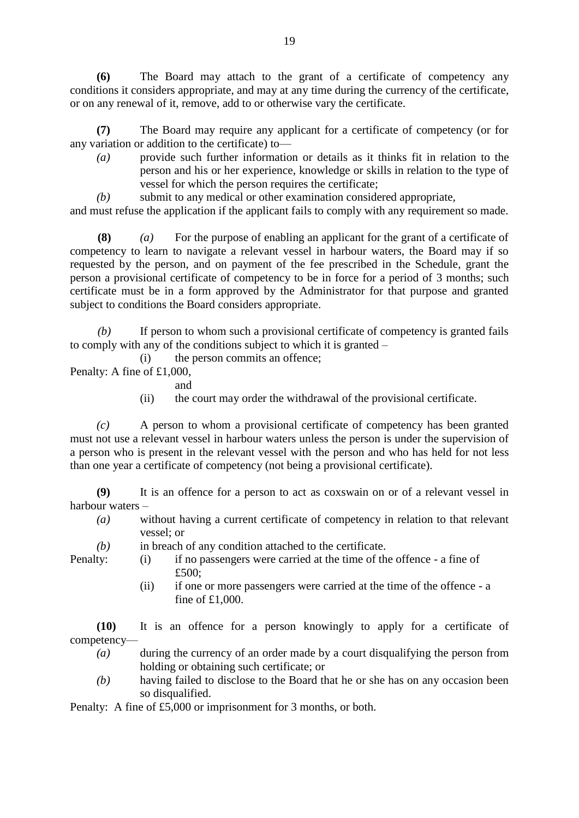**(6)** The Board may attach to the grant of a certificate of competency any conditions it considers appropriate, and may at any time during the currency of the certificate, or on any renewal of it, remove, add to or otherwise vary the certificate.

**(7)** The Board may require any applicant for a certificate of competency (or for any variation or addition to the certificate) to—

- *(a)* provide such further information or details as it thinks fit in relation to the person and his or her experience, knowledge or skills in relation to the type of vessel for which the person requires the certificate;
- *(b)* submit to any medical or other examination considered appropriate,

and must refuse the application if the applicant fails to comply with any requirement so made.

**(8)** *(a)* For the purpose of enabling an applicant for the grant of a certificate of competency to learn to navigate a relevant vessel in harbour waters, the Board may if so requested by the person, and on payment of the fee prescribed in the Schedule, grant the person a provisional certificate of competency to be in force for a period of 3 months; such certificate must be in a form approved by the Administrator for that purpose and granted subject to conditions the Board considers appropriate.

*(b)* If person to whom such a provisional certificate of competency is granted fails to comply with any of the conditions subject to which it is granted –

(i) the person commits an offence;

Penalty: A fine of £1,000,

- and
- (ii) the court may order the withdrawal of the provisional certificate.

*(c)* A person to whom a provisional certificate of competency has been granted must not use a relevant vessel in harbour waters unless the person is under the supervision of a person who is present in the relevant vessel with the person and who has held for not less than one year a certificate of competency (not being a provisional certificate).

**(9)** It is an offence for a person to act as coxswain on or of a relevant vessel in harbour waters –

- *(a)* without having a current certificate of competency in relation to that relevant vessel; or
- 
- *(b)* in breach of any condition attached to the certificate.
- Penalty: (i) if no passengers were carried at the time of the offence a fine of £500:
	- (ii) if one or more passengers were carried at the time of the offence a fine of £1,000.

**(10)** It is an offence for a person knowingly to apply for a certificate of competency—

- *(a)* during the currency of an order made by a court disqualifying the person from holding or obtaining such certificate; or
- *(b)* having failed to disclose to the Board that he or she has on any occasion been so disqualified.

Penalty: A fine of £5,000 or imprisonment for 3 months, or both.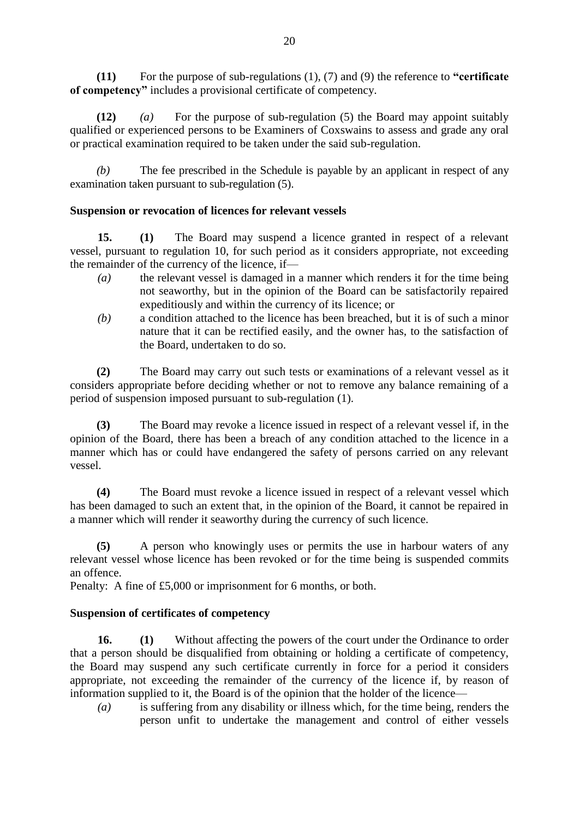**(11)** For the purpose of sub-regulations (1), (7) and (9) the reference to **"certificate of competency"** includes a provisional certificate of competency.

**(12)** *(a)* For the purpose of sub-regulation (5) the Board may appoint suitably qualified or experienced persons to be Examiners of Coxswains to assess and grade any oral or practical examination required to be taken under the said sub-regulation.

*(b)* The fee prescribed in the Schedule is payable by an applicant in respect of any examination taken pursuant to sub-regulation (5).

# **Suspension or revocation of licences for relevant vessels**

**15. (1)** The Board may suspend a licence granted in respect of a relevant vessel, pursuant to regulation 10, for such period as it considers appropriate, not exceeding the remainder of the currency of the licence, if—

- *(a)* the relevant vessel is damaged in a manner which renders it for the time being not seaworthy, but in the opinion of the Board can be satisfactorily repaired expeditiously and within the currency of its licence; or
- *(b)* a condition attached to the licence has been breached, but it is of such a minor nature that it can be rectified easily, and the owner has, to the satisfaction of the Board, undertaken to do so.

**(2)** The Board may carry out such tests or examinations of a relevant vessel as it considers appropriate before deciding whether or not to remove any balance remaining of a period of suspension imposed pursuant to sub-regulation (1).

**(3)** The Board may revoke a licence issued in respect of a relevant vessel if, in the opinion of the Board, there has been a breach of any condition attached to the licence in a manner which has or could have endangered the safety of persons carried on any relevant vessel.

**(4)** The Board must revoke a licence issued in respect of a relevant vessel which has been damaged to such an extent that, in the opinion of the Board, it cannot be repaired in a manner which will render it seaworthy during the currency of such licence.

**(5)** A person who knowingly uses or permits the use in harbour waters of any relevant vessel whose licence has been revoked or for the time being is suspended commits an offence.

Penalty: A fine of £5,000 or imprisonment for 6 months, or both.

# **Suspension of certificates of competency**

**16. (1)** Without affecting the powers of the court under the Ordinance to order that a person should be disqualified from obtaining or holding a certificate of competency, the Board may suspend any such certificate currently in force for a period it considers appropriate, not exceeding the remainder of the currency of the licence if, by reason of information supplied to it, the Board is of the opinion that the holder of the licence—

*(a)* is suffering from any disability or illness which, for the time being, renders the person unfit to undertake the management and control of either vessels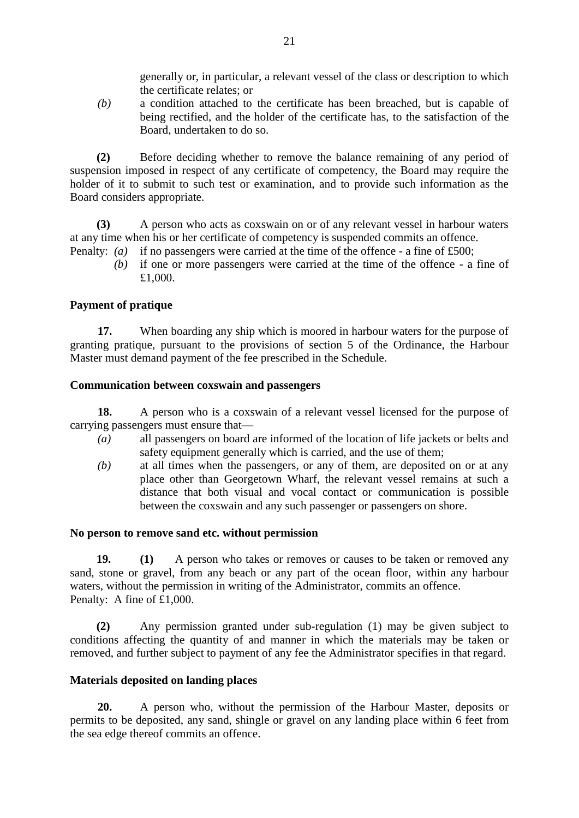generally or, in particular, a relevant vessel of the class or description to which the certificate relates; or

*(b)* a condition attached to the certificate has been breached, but is capable of being rectified, and the holder of the certificate has, to the satisfaction of the Board, undertaken to do so.

**(2)** Before deciding whether to remove the balance remaining of any period of suspension imposed in respect of any certificate of competency, the Board may require the holder of it to submit to such test or examination, and to provide such information as the Board considers appropriate.

**(3)** A person who acts as coxswain on or of any relevant vessel in harbour waters at any time when his or her certificate of competency is suspended commits an offence.

- Penalty: *(a)* if no passengers were carried at the time of the offence a fine of £500;
	- *(b)* if one or more passengers were carried at the time of the offence a fine of £1,000.

# **Payment of pratique**

**17.** When boarding any ship which is moored in harbour waters for the purpose of granting pratique, pursuant to the provisions of section 5 of the Ordinance, the Harbour Master must demand payment of the fee prescribed in the Schedule.

## **Communication between coxswain and passengers**

**18.** A person who is a coxswain of a relevant vessel licensed for the purpose of carrying passengers must ensure that—

- *(a)* all passengers on board are informed of the location of life jackets or belts and safety equipment generally which is carried, and the use of them;
- *(b)* at all times when the passengers, or any of them, are deposited on or at any place other than Georgetown Wharf, the relevant vessel remains at such a distance that both visual and vocal contact or communication is possible between the coxswain and any such passenger or passengers on shore.

## **No person to remove sand etc. without permission**

**19. (1)** A person who takes or removes or causes to be taken or removed any sand, stone or gravel, from any beach or any part of the ocean floor, within any harbour waters, without the permission in writing of the Administrator, commits an offence. Penalty: A fine of £1,000.

**(2)** Any permission granted under sub-regulation (1) may be given subject to conditions affecting the quantity of and manner in which the materials may be taken or removed, and further subject to payment of any fee the Administrator specifies in that regard.

## **Materials deposited on landing places**

**20.** A person who, without the permission of the Harbour Master, deposits or permits to be deposited, any sand, shingle or gravel on any landing place within 6 feet from the sea edge thereof commits an offence.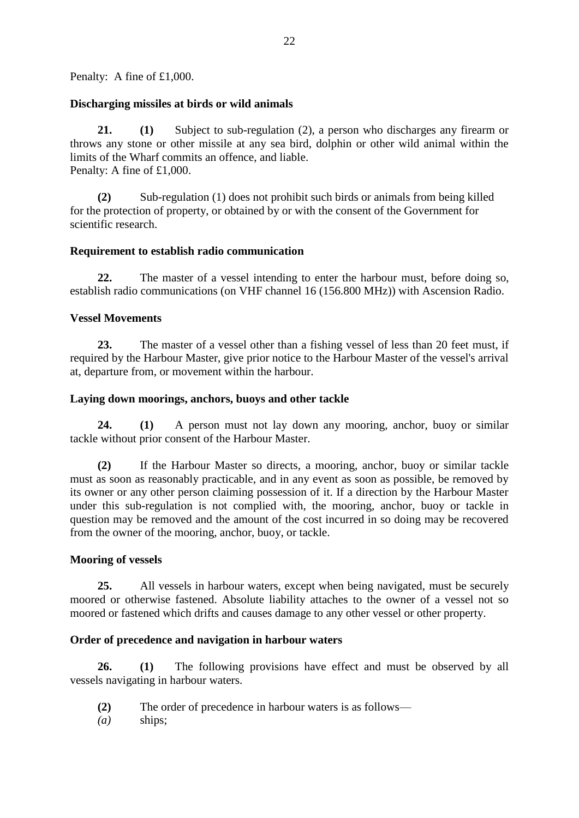Penalty: A fine of £1,000.

#### **Discharging missiles at birds or wild animals**

**21. (1)** Subject to sub-regulation (2), a person who discharges any firearm or throws any stone or other missile at any sea bird, dolphin or other wild animal within the limits of the Wharf commits an offence, and liable. Penalty: A fine of £1,000.

**(2)** Sub-regulation (1) does not prohibit such birds or animals from being killed for the protection of property, or obtained by or with the consent of the Government for scientific research.

#### **Requirement to establish radio communication**

**22.** The master of a vessel intending to enter the harbour must, before doing so, establish radio communications (on VHF channel 16 (156.800 MHz)) with Ascension Radio.

#### **Vessel Movements**

**23.** The master of a vessel other than a fishing vessel of less than 20 feet must, if required by the Harbour Master, give prior notice to the Harbour Master of the vessel's arrival at, departure from, or movement within the harbour.

#### **Laying down moorings, anchors, buoys and other tackle**

**24. (1)** A person must not lay down any mooring, anchor, buoy or similar tackle without prior consent of the Harbour Master.

**(2)** If the Harbour Master so directs, a mooring, anchor, buoy or similar tackle must as soon as reasonably practicable, and in any event as soon as possible, be removed by its owner or any other person claiming possession of it. If a direction by the Harbour Master under this sub-regulation is not complied with, the mooring, anchor, buoy or tackle in question may be removed and the amount of the cost incurred in so doing may be recovered from the owner of the mooring, anchor, buoy, or tackle.

## **Mooring of vessels**

**25.** All vessels in harbour waters, except when being navigated, must be securely moored or otherwise fastened. Absolute liability attaches to the owner of a vessel not so moored or fastened which drifts and causes damage to any other vessel or other property.

## **Order of precedence and navigation in harbour waters**

**26. (1)** The following provisions have effect and must be observed by all vessels navigating in harbour waters.

- **(2)** The order of precedence in harbour waters is as follows—
- *(a)* ships;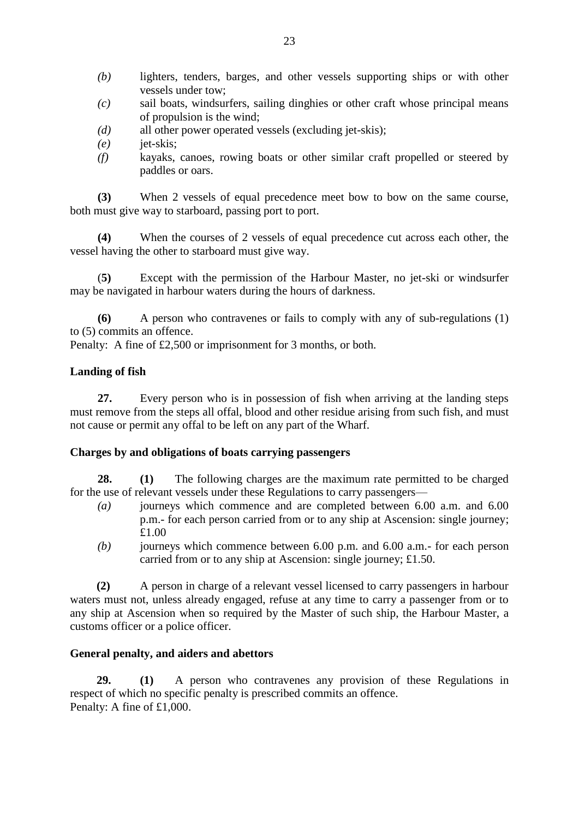- *(b)* lighters, tenders, barges, and other vessels supporting ships or with other vessels under tow;
- *(c)* sail boats, windsurfers, sailing dinghies or other craft whose principal means of propulsion is the wind;
- *(d)* all other power operated vessels (excluding jet-skis);
- *(e)* jet-skis;
- *(f)* kayaks, canoes, rowing boats or other similar craft propelled or steered by paddles or oars.

**(3)** When 2 vessels of equal precedence meet bow to bow on the same course, both must give way to starboard, passing port to port.

**(4)** When the courses of 2 vessels of equal precedence cut across each other, the vessel having the other to starboard must give way.

(**5)** Except with the permission of the Harbour Master, no jet-ski or windsurfer may be navigated in harbour waters during the hours of darkness.

**(6)** A person who contravenes or fails to comply with any of sub-regulations (1) to (5) commits an offence.

Penalty: A fine of £2,500 or imprisonment for 3 months, or both.

# **Landing of fish**

**27.** Every person who is in possession of fish when arriving at the landing steps must remove from the steps all offal, blood and other residue arising from such fish, and must not cause or permit any offal to be left on any part of the Wharf.

## **Charges by and obligations of boats carrying passengers**

**28. (1)** The following charges are the maximum rate permitted to be charged for the use of relevant vessels under these Regulations to carry passengers—

- *(a)* journeys which commence and are completed between 6.00 a.m. and 6.00 p.m.- for each person carried from or to any ship at Ascension: single journey; £1.00
- *(b)* journeys which commence between 6.00 p.m. and 6.00 a.m.- for each person carried from or to any ship at Ascension: single journey; £1.50.

**(2)** A person in charge of a relevant vessel licensed to carry passengers in harbour waters must not, unless already engaged, refuse at any time to carry a passenger from or to any ship at Ascension when so required by the Master of such ship, the Harbour Master, a customs officer or a police officer.

# **General penalty, and aiders and abettors**

**29. (1)** A person who contravenes any provision of these Regulations in respect of which no specific penalty is prescribed commits an offence. Penalty: A fine of £1,000.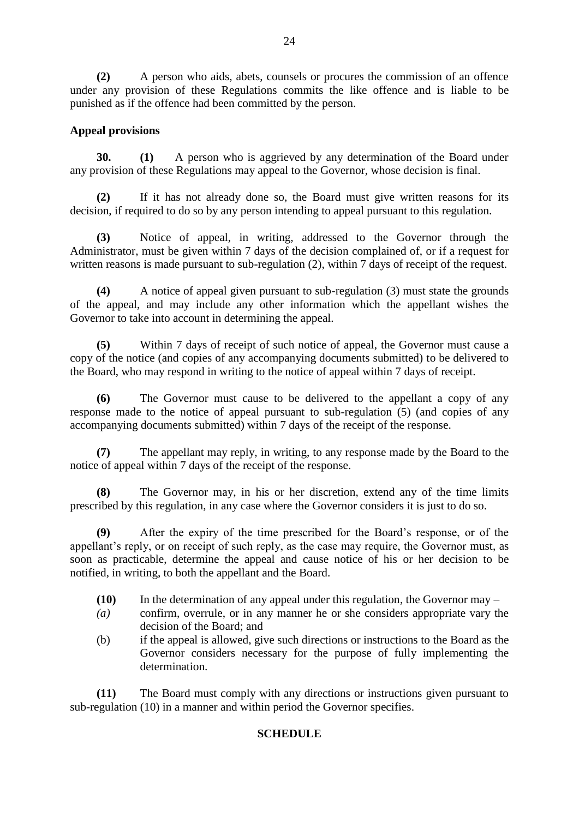**(2)** A person who aids, abets, counsels or procures the commission of an offence under any provision of these Regulations commits the like offence and is liable to be punished as if the offence had been committed by the person.

# **Appeal provisions**

**30. (1)** A person who is aggrieved by any determination of the Board under any provision of these Regulations may appeal to the Governor, whose decision is final.

**(2)** If it has not already done so, the Board must give written reasons for its decision, if required to do so by any person intending to appeal pursuant to this regulation.

**(3)** Notice of appeal, in writing, addressed to the Governor through the Administrator, must be given within 7 days of the decision complained of, or if a request for written reasons is made pursuant to sub-regulation (2), within 7 days of receipt of the request.

**(4)** A notice of appeal given pursuant to sub-regulation (3) must state the grounds of the appeal, and may include any other information which the appellant wishes the Governor to take into account in determining the appeal.

**(5)** Within 7 days of receipt of such notice of appeal, the Governor must cause a copy of the notice (and copies of any accompanying documents submitted) to be delivered to the Board, who may respond in writing to the notice of appeal within 7 days of receipt.

**(6)** The Governor must cause to be delivered to the appellant a copy of any response made to the notice of appeal pursuant to sub-regulation (5) (and copies of any accompanying documents submitted) within 7 days of the receipt of the response.

**(7)** The appellant may reply, in writing, to any response made by the Board to the notice of appeal within 7 days of the receipt of the response.

**(8)** The Governor may, in his or her discretion, extend any of the time limits prescribed by this regulation, in any case where the Governor considers it is just to do so.

**(9)** After the expiry of the time prescribed for the Board's response, or of the appellant's reply, or on receipt of such reply, as the case may require, the Governor must, as soon as practicable, determine the appeal and cause notice of his or her decision to be notified, in writing, to both the appellant and the Board.

- **(10)** In the determination of any appeal under this regulation, the Governor may –
- *(a)* confirm, overrule, or in any manner he or she considers appropriate vary the decision of the Board; and
- (b) if the appeal is allowed, give such directions or instructions to the Board as the Governor considers necessary for the purpose of fully implementing the determination.

**(11)** The Board must comply with any directions or instructions given pursuant to sub-regulation (10) in a manner and within period the Governor specifies.

## **SCHEDULE**